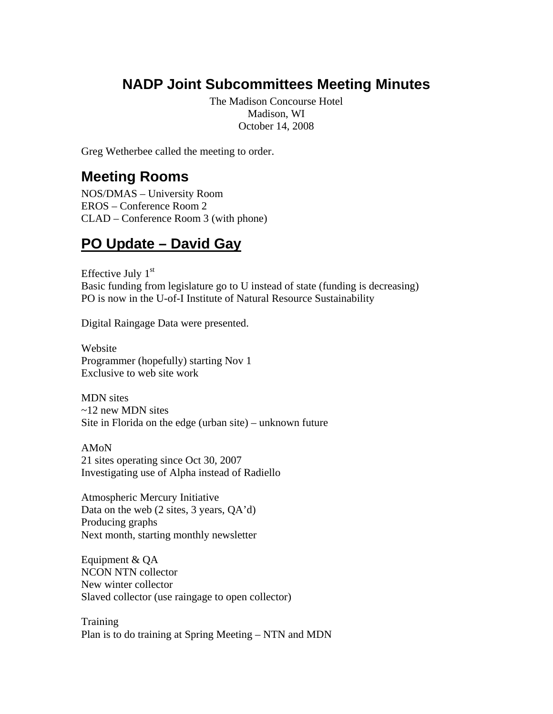# **NADP Joint Subcommittees Meeting Minutes**

The Madison Concourse Hotel Madison, WI October 14, 2008

Greg Wetherbee called the meeting to order.

## **Meeting Rooms**

NOS/DMAS – University Room EROS – Conference Room 2 CLAD – Conference Room 3 (with phone)

## **PO Update – David Gay**

Effective July  $1<sup>st</sup>$ Basic funding from legislature go to U instead of state (funding is decreasing) PO is now in the U-of-I Institute of Natural Resource Sustainability

Digital Raingage Data were presented.

Website Programmer (hopefully) starting Nov 1 Exclusive to web site work

MDN sites ~12 new MDN sites Site in Florida on the edge (urban site) – unknown future

AMoN 21 sites operating since Oct 30, 2007 Investigating use of Alpha instead of Radiello

Atmospheric Mercury Initiative Data on the web (2 sites, 3 years, QA'd) Producing graphs Next month, starting monthly newsletter

Equipment & QA NCON NTN collector New winter collector Slaved collector (use raingage to open collector)

**Training** Plan is to do training at Spring Meeting – NTN and MDN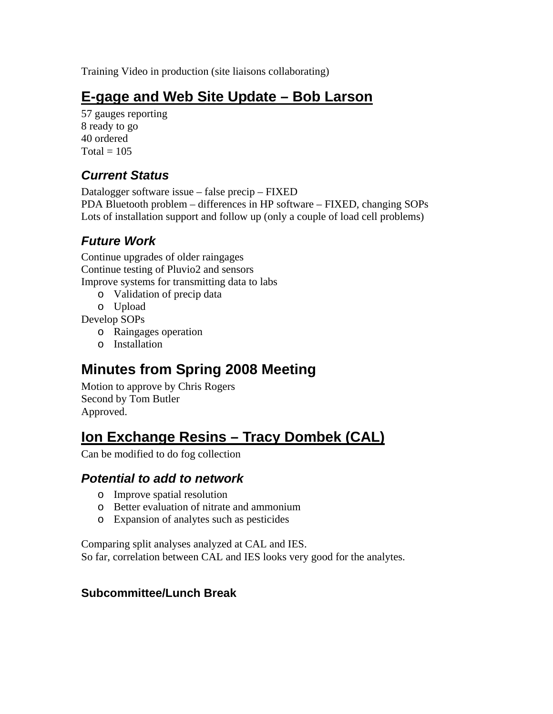Training Video in production (site liaisons collaborating)

## **E-gage and Web Site Update – Bob Larson**

57 gauges reporting 8 ready to go 40 ordered  $Total = 105$ 

### *Current Status*

Datalogger software issue – false precip – FIXED PDA Bluetooth problem – differences in HP software – FIXED, changing SOPs Lots of installation support and follow up (only a couple of load cell problems)

### *Future Work*

Continue upgrades of older raingages Continue testing of Pluvio2 and sensors Improve systems for transmitting data to labs

- o Validation of precip data
- o Upload

Develop SOPs

- o Raingages operation
- o Installation

# **Minutes from Spring 2008 Meeting**

Motion to approve by Chris Rogers Second by Tom Butler Approved.

## **Ion Exchange Resins – Tracy Dombek (CAL)**

Can be modified to do fog collection

#### *Potential to add to network*

- o Improve spatial resolution
- o Better evaluation of nitrate and ammonium
- o Expansion of analytes such as pesticides

Comparing split analyses analyzed at CAL and IES. So far, correlation between CAL and IES looks very good for the analytes.

#### **Subcommittee/Lunch Break**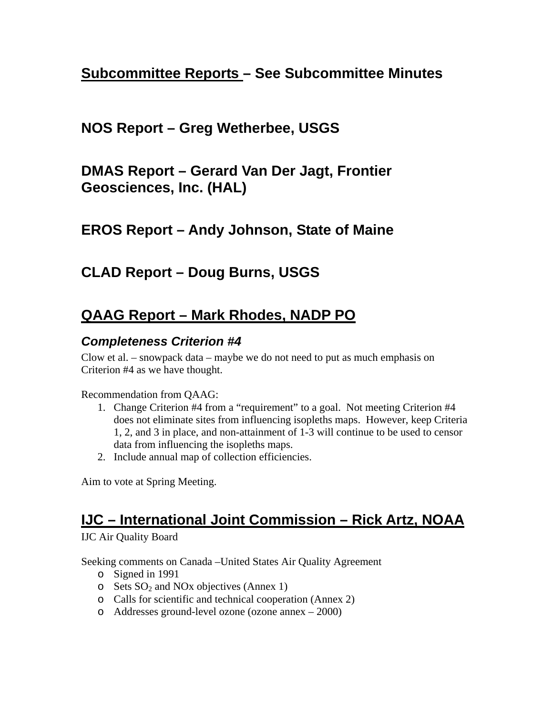## **Subcommittee Reports – See Subcommittee Minutes**

### **NOS Report – Greg Wetherbee, USGS**

**DMAS Report – Gerard Van Der Jagt, Frontier Geosciences, Inc. (HAL)** 

### **EROS Report – Andy Johnson, State of Maine**

### **CLAD Report – Doug Burns, USGS**

## **QAAG Report – Mark Rhodes, NADP PO**

#### *Completeness Criterion #4*

Clow et al. – snowpack data – maybe we do not need to put as much emphasis on Criterion #4 as we have thought.

#### Recommendation from QAAG:

- 1. Change Criterion #4 from a "requirement" to a goal. Not meeting Criterion #4 does not eliminate sites from influencing isopleths maps. However, keep Criteria 1, 2, and 3 in place, and non-attainment of 1-3 will continue to be used to censor data from influencing the isopleths maps.
- 2. Include annual map of collection efficiencies.

Aim to vote at Spring Meeting.

# **IJC – International Joint Commission – Rick Artz, NOAA**

IJC Air Quality Board

Seeking comments on Canada –United States Air Quality Agreement

- o Signed in 1991
- $\circ$  Sets SO<sub>2</sub> and NO<sub>x</sub> objectives (Annex 1)
- o Calls for scientific and technical cooperation (Annex 2)
- o Addresses ground-level ozone (ozone annex 2000)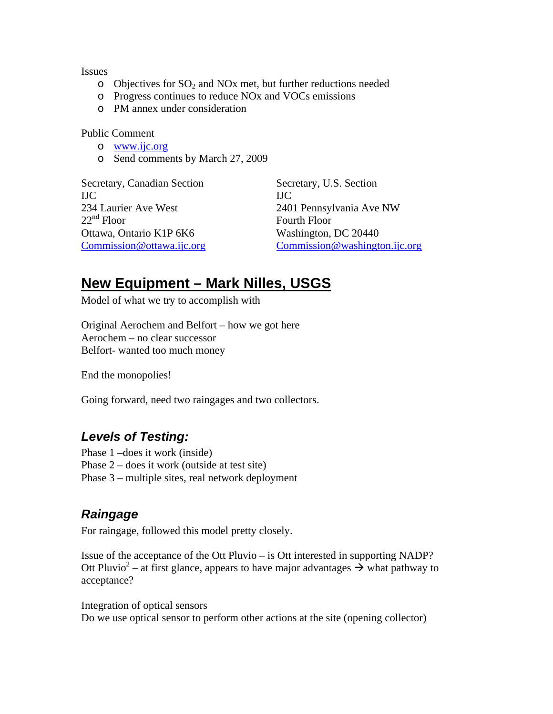Issues

- $\circ$  Objectives for SO<sub>2</sub> and NO<sub>x</sub> met, but further reductions needed
- o Progress continues to reduce NOx and VOCs emissions
- o PM annex under consideration

Public Comment

- o www.ijc.org
- o Send comments by March 27, 2009

Secretary, Canadian Section Secretary, U.S. Section IJC IJC 234 Laurier Ave West 2401 Pennsylvania Ave NW<br>22<sup>nd</sup> Floor Fourth Floor Fourth Floor Ottawa, Ontario K1P 6K6 Washington, DC 20440 Commission@ottawa.ijc.org Commission@washington.ijc.org

## **New Equipment – Mark Nilles, USGS**

Model of what we try to accomplish with

Original Aerochem and Belfort – how we got here Aerochem – no clear successor Belfort- wanted too much money

End the monopolies!

Going forward, need two raingages and two collectors.

#### *Levels of Testing:*

Phase 1 –does it work (inside) Phase 2 – does it work (outside at test site) Phase 3 – multiple sites, real network deployment

#### *Raingage*

For raingage, followed this model pretty closely.

Issue of the acceptance of the Ott Pluvio – is Ott interested in supporting NADP? Ott Pluvio<sup>2</sup> – at first glance, appears to have major advantages  $\rightarrow \infty$  what pathway to acceptance?

Integration of optical sensors Do we use optical sensor to perform other actions at the site (opening collector)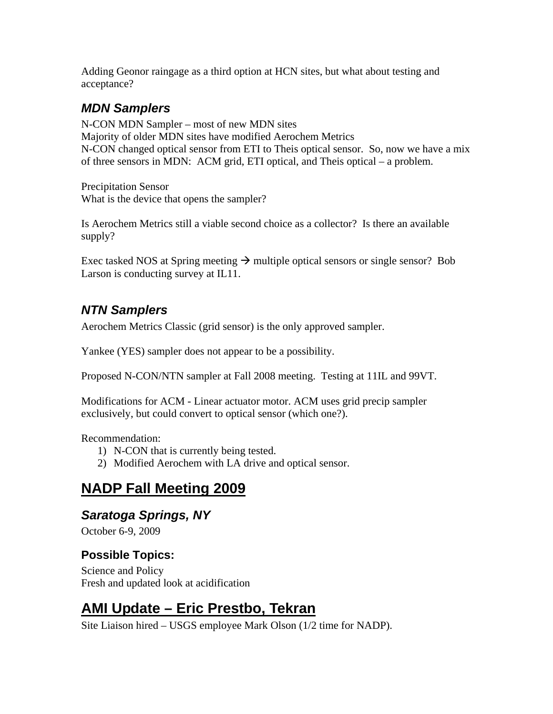Adding Geonor raingage as a third option at HCN sites, but what about testing and acceptance?

### *MDN Samplers*

N-CON MDN Sampler – most of new MDN sites Majority of older MDN sites have modified Aerochem Metrics N-CON changed optical sensor from ETI to Theis optical sensor. So, now we have a mix of three sensors in MDN: ACM grid, ETI optical, and Theis optical – a problem.

Precipitation Sensor What is the device that opens the sampler?

Is Aerochem Metrics still a viable second choice as a collector? Is there an available supply?

Exec tasked NOS at Spring meeting  $\rightarrow$  multiple optical sensors or single sensor? Bob Larson is conducting survey at IL11.

### *NTN Samplers*

Aerochem Metrics Classic (grid sensor) is the only approved sampler.

Yankee (YES) sampler does not appear to be a possibility.

Proposed N-CON/NTN sampler at Fall 2008 meeting. Testing at 11IL and 99VT.

Modifications for ACM - Linear actuator motor. ACM uses grid precip sampler exclusively, but could convert to optical sensor (which one?).

Recommendation:

- 1) N-CON that is currently being tested.
- 2) Modified Aerochem with LA drive and optical sensor.

## **NADP Fall Meeting 2009**

#### *Saratoga Springs, NY*

October 6-9, 2009

#### **Possible Topics:**

Science and Policy Fresh and updated look at acidification

# **AMI Update – Eric Prestbo, Tekran**

Site Liaison hired – USGS employee Mark Olson (1/2 time for NADP).